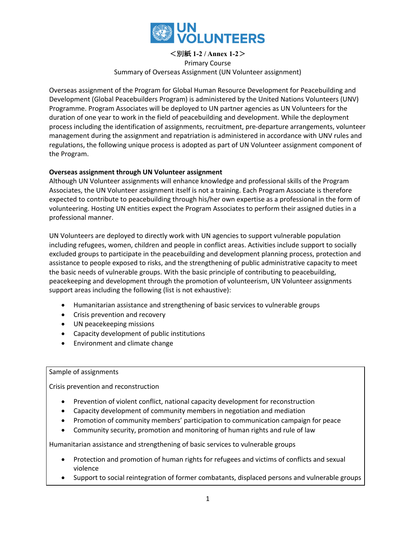

<別紙 **1-2 / Annex 1-2**> Primary Course Summary of Overseas Assignment (UN Volunteer assignment)

Overseas assignment of the Program for Global Human Resource Development for Peacebuilding and Development (Global Peacebuilders Program) is administered by the United Nations Volunteers (UNV) Programme. Program Associates will be deployed to UN partner agencies as UN Volunteers for the duration of one year to work in the field of peacebuilding and development. While the deployment process including the identification of assignments, recruitment, pre-departure arrangements, volunteer management during the assignment and repatriation is administered in accordance with UNV rules and regulations, the following unique process is adopted as part of UN Volunteer assignment component of the Program.

## **Overseas assignment through UN Volunteer assignment**

Although UN Volunteer assignments will enhance knowledge and professional skills of the Program Associates, the UN Volunteer assignment itself is not a training. Each Program Associate is therefore expected to contribute to peacebuilding through his/her own expertise as a professional in the form of volunteering. Hosting UN entities expect the Program Associates to perform their assigned duties in a professional manner.

UN Volunteers are deployed to directly work with UN agencies to support vulnerable population including refugees, women, children and people in conflict areas. Activities include support to socially excluded groups to participate in the peacebuilding and development planning process, protection and assistance to people exposed to risks, and the strengthening of public administrative capacity to meet the basic needs of vulnerable groups. With the basic principle of contributing to peacebuilding, peacekeeping and development through the promotion of volunteerism, UN Volunteer assignments support areas including the following (list is not exhaustive):

- Humanitarian assistance and strengthening of basic services to vulnerable groups
- Crisis prevention and recovery
- UN peacekeeping missions
- Capacity development of public institutions
- Environment and climate change

## Sample of assignments

Crisis prevention and reconstruction

- Prevention of violent conflict, national capacity development for reconstruction
- Capacity development of community members in negotiation and mediation
- Promotion of community members' participation to communication campaign for peace
- Community security, promotion and monitoring of human rights and rule of law

Humanitarian assistance and strengthening of basic services to vulnerable groups

- Protection and promotion of human rights for refugees and victims of conflicts and sexual violence
- Support to social reintegration of former combatants, displaced persons and vulnerable groups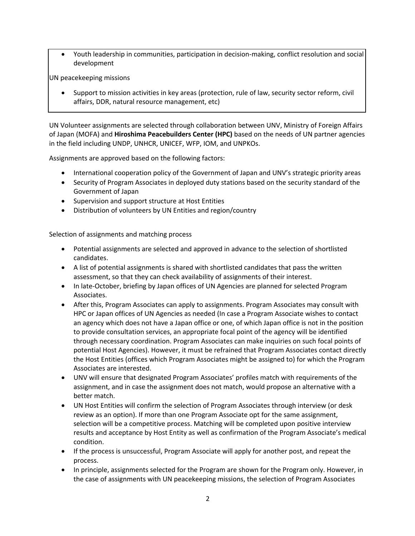• Youth leadership in communities, participation in decision-making, conflict resolution and social development

UN peacekeeping missions

• Support to mission activities in key areas (protection, rule of law, security sector reform, civil affairs, DDR, natural resource management, etc)

UN Volunteer assignments are selected through collaboration between UNV, Ministry of Foreign Affairs of Japan (MOFA) and **Hiroshima Peacebuilders Center (HPC)** based on the needs of UN partner agencies in the field including UNDP, UNHCR, UNICEF, WFP, IOM, and UNPKOs.

Assignments are approved based on the following factors:

- International cooperation policy of the Government of Japan and UNV's strategic priority areas
- Security of Program Associates in deployed duty stations based on the security standard of the Government of Japan
- Supervision and support structure at Host Entities
- Distribution of volunteers by UN Entities and region/country

Selection of assignments and matching process

- Potential assignments are selected and approved in advance to the selection of shortlisted candidates.
- A list of potential assignments is shared with shortlisted candidates that pass the written assessment, so that they can check availability of assignments of their interest.
- In late-October, briefing by Japan offices of UN Agencies are planned for selected Program Associates.
- After this, Program Associates can apply to assignments. Program Associates may consult with HPC or Japan offices of UN Agencies as needed (In case a Program Associate wishes to contact an agency which does not have a Japan office or one, of which Japan office is not in the position to provide consultation services, an appropriate focal point of the agency will be identified through necessary coordination. Program Associates can make inquiries on such focal points of potential Host Agencies). However, it must be refrained that Program Associates contact directly the Host Entities (offices which Program Associates might be assigned to) for which the Program Associates are interested.
- UNV will ensure that designated Program Associates' profiles match with requirements of the assignment, and in case the assignment does not match, would propose an alternative with a better match.
- UN Host Entities will confirm the selection of Program Associates through interview (or desk review as an option). If more than one Program Associate opt for the same assignment, selection will be a competitive process. Matching will be completed upon positive interview results and acceptance by Host Entity as well as confirmation of the Program Associate's medical condition.
- If the process is unsuccessful, Program Associate will apply for another post, and repeat the process.
- In principle, assignments selected for the Program are shown for the Program only. However, in the case of assignments with UN peacekeeping missions, the selection of Program Associates